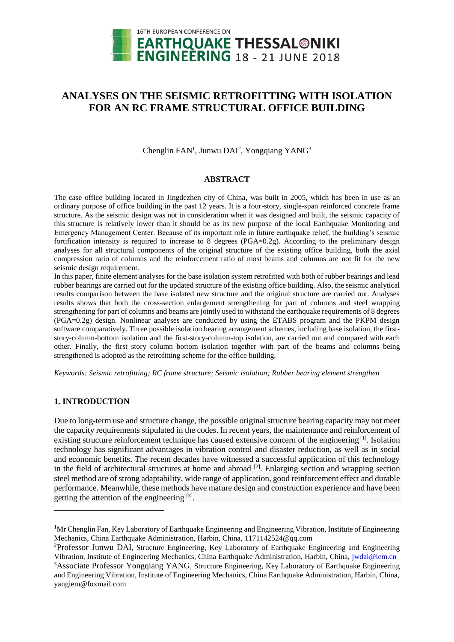

# **ANALYSES ON THE SEISMIC RETROFITTING WITH ISOLATION FOR AN RC FRAME STRUCTURAL OFFICE BUILDING**

Chenglin FAN<sup>1</sup>, Junwu DAI<sup>2</sup>, Yongqiang YANG<sup>3</sup>

### **ABSTRACT**

The case office building located in Jingdezhen city of China, was built in 2005, which has been in use as an ordinary purpose of office building in the past 12 years. It is a four-story, single-span reinforced concrete frame structure. As the seismic design was not in consideration when it was designed and built, the seismic capacity of this structure is relatively lower than it should be as its new purpose of the local Earthquake Monitoring and Emergency Management Center. Because of its important role in future earthquake relief, the building's seismic fortification intensity is required to increase to  $\overline{8}$  degrees (PGA=0.2g). According to the preliminary design analyses for all structural components of the original structure of the existing office building, both the axial compression ratio of columns and the reinforcement ratio of most beams and columns are not fit for the new seismic design requirement.

In this paper, finite element analyses for the base isolation system retrofitted with both of rubber bearings and lead rubber bearings are carried out for the updated structure of the existing office building. Also, the seismic analytical results comparison between the base isolated new structure and the original structure are carried out. Analyses results shows that both the cross-section enlargement strengthening for part of columns and steel wrapping strengthening for part of columns and beams are jointly used to withstand the earthquake requirements of 8 degrees (PGA=0.2g) design. Nonlinear analyses are conducted by using the ETABS program and the PKPM design software comparatively. Three possible isolation bearing arrangement schemes, including base isolation, the firststory-column-bottom isolation and the first-story-column-top isolation, are carried out and compared with each other. Finally, the first story column bottom isolation together with part of the beams and columns being strengthened is adopted as the retrofitting scheme for the office building.

*Keywords: Seismic retrofitting; RC frame structure; Seismic isolation; Rubber bearing element strengthen*

# **1. INTRODUCTION**

l

Due to long-term use and structure change, the possible original structure bearing capacity may not meet the capacity requirements stipulated in the codes. In recent years, the maintenance and reinforcement of existing structure reinforcement technique has caused extensive concern of the engineering [1]. Isolation technology has significant advantages in vibration control and disaster reduction, as well as in social and economic benefits. The recent decades have witnessed a successful application of this technology in the field of architectural structures at home and abroad  $[2]$ . Enlarging section and wrapping section steel method are of strong adaptability, wide range of application, good reinforcement effect and durable performance. Meanwhile, these methods have mature design and construction experience and have been getting the attention of the engineering [3].

<sup>&</sup>lt;sup>1</sup>Mr Chenglin Fan, Key Laboratory of Earthquake Engineering and Engineering Vibration, Institute of Engineering Mechanics, China Earthquake Administration, Harbin, China, 1171142524@qq.com

<sup>2</sup>[Professor](http://dict.youdao.com/w/associate%20professor/#keyfrom=E2Ctranslation) Junwu DAI, Structure Engineering, Key Laboratory of Earthquake Engineering and Engineering Vibration, Institute of Engineering Mechanics, China Earthquake Administration, Harbin, China, [jwdai@iem.cn](mailto:jwdai@iem.cn)

<sup>&</sup>lt;sup>3</sup>Associate Professor Yongqiang YANG, Structure Engineering, Key Laboratory of Earthquake Engineering and Engineering Vibration, Institute of Engineering Mechanics, China Earthquake Administration, Harbin, China, yangiem@foxmail.com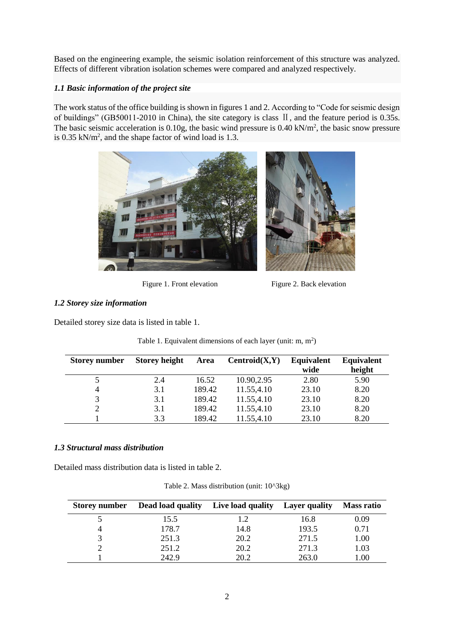Based on the engineering example, the seismic isolation reinforcement of this structure was analyzed. Effects of different vibration isolation schemes were compared and analyzed respectively.

# *1.1 Basic information of the project site*

The work status of the office building is shown in figures 1 and 2. According to "Code for seismic design of buildings" (GB50011-2010 in China), the site category is class II, and the feature period is 0.35s. The basic seismic acceleration is  $0.10g$ , the basic wind pressure is  $0.40 \text{ kN/m}^2$ , the basic snow pressure is  $0.35$  kN/m<sup>2</sup>, and the shape factor of wind load is 1.3.



Figure 1. Front elevation Figure 2. Back elevation

# *1.2 Storey size information*

Detailed storey size data is listed in table 1.

| <b>Storey number</b> | <b>Storey height</b> | Area   | Centroid(X,Y) | Equivalent | <b>Equivalent</b> |
|----------------------|----------------------|--------|---------------|------------|-------------------|
|                      |                      |        |               | wide       | height            |
|                      | 2.4                  | 16.52  | 10.90,2.95    | 2.80       | 5.90              |
| 4                    | 3.1                  | 189.42 | 11.55,4.10    | 23.10      | 8.20              |
| 3                    | 3.1                  | 189.42 | 11.55,4.10    | 23.10      | 8.20              |
|                      | 3.1                  | 189.42 | 11.55,4.10    | 23.10      | 8.20              |
|                      | 3.3                  | 189.42 | 11.55,4.10    | 23.10      | 8.20              |

Table 1. Equivalent dimensions of each layer (unit:  $m, m<sup>2</sup>$ )

# *1.3 Structural mass distribution*

Detailed mass distribution data is listed in table 2.

Table 2. Mass distribution (unit: 10^3kg)

| <b>Storey number</b> | Dead load quality | Live load quality | <b>Layer</b> quality | <b>Mass ratio</b> |
|----------------------|-------------------|-------------------|----------------------|-------------------|
|                      | 15.5              | 1.2               | 16.8                 | 0.09              |
|                      | 178.7             | 14.8              | 193.5                | 0.71              |
|                      | 251.3             | 20.2              | 271.5                | 1.00              |
|                      | 251.2             | 20.2              | 271.3                | 1.03              |
|                      | 242.9             | 20.2              | 263.0                | 0.00              |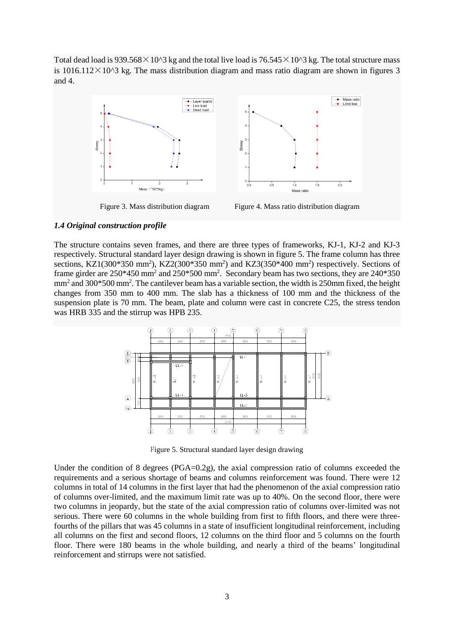Total dead load is  $939.568 \times 10^{6}$  kg and the total live load is  $76.545 \times 10^{6}$  kg. The total structure mass is  $1016.112 \times 10^{3}$  kg. The mass distribution diagram and mass ratio diagram are shown in figures 3 and 4.



Figure 3. Mass distribution diagram Figure 4. Mass ratio distribution diagram

#### *1.4 Original construction profile*

The structure contains seven frames, and there are three types of frameworks, KJ-1, KJ-2 and KJ-3 respectively. Structural standard layer design drawing is shown in figure 5. The frame column has three sections, KZ1(300\*350 mm<sup>2</sup>), KZ2(300\*350 mm<sup>2</sup>) and KZ3(350\*400 mm<sup>2</sup>) respectively. Sections of frame girder are 250\*450 mm<sup>2</sup> and 250\*500 mm<sup>2</sup>. Secondary beam has two sections, they are 240\*350 mm<sup>2</sup> and 300\*500 mm<sup>2</sup>. The cantilever beam has a variable section, the width is 250mm fixed, the height changes from 350 mm to 400 mm. The slab has a thickness of 100 mm and the thickness of the suspension plate is 70 mm. The beam, plate and column were cast in concrete C25, the stress tendon was HRB 335 and the stirrup was HPB 235.



Figure 5. Structural standard layer design drawing

Under the condition of 8 degrees ( $PGA=0.2g$ ), the axial compression ratio of columns exceeded the requirements and a serious shortage of beams and columns reinforcement was found. There were 12 columns in total of 14 columns in the first layer that had the phenomenon of the axial compression ratio of columns over-limited, and the maximum limit rate was up to 40%. On the second floor, there were two columns in jeopardy, but the state of the axial compression ratio of columns over-limited was not serious. There were 60 columns in the whole building from first to fifth floors, and there were threefourths of the pillars that was 45 columns in a state of insufficient longitudinal reinforcement, including all columns on the first and second floors, 12 columns on the third floor and 5 columns on the fourth floor. There were 180 beams in the whole building, and nearly a third of the beams' longitudinal reinforcement and stirrups were not satisfied.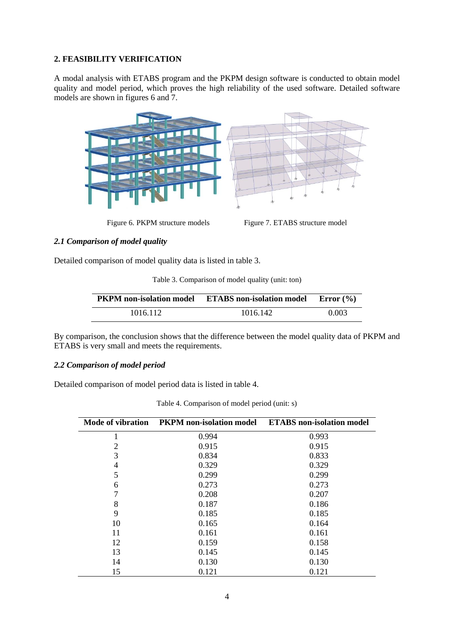# **2. FEASIBILITY VERIFICATION**

A modal analysis with ETABS program and the PKPM design software is conducted to obtain model quality and model period, which proves the high reliability of the used software. Detailed software models are shown in figures 6 and 7.



Figure 6. PKPM structure models Figure 7. ETABS structure model

# *2.1 Comparison of model quality*

Detailed comparison of model quality data is listed in table 3.

Table 3. Comparison of model quality (unit: ton)

| <b>PKPM</b> non-isolation model | <b>ETABS</b> non-isolation model | Error $(\% )$ |
|---------------------------------|----------------------------------|---------------|
| 1016.112                        | 1016.142                         | 0.003         |

By comparison, the conclusion shows that the difference between the model quality data of PKPM and ETABS is very small and meets the requirements.

# *2.2 Comparison of model period*

Detailed comparison of model period data is listed in table 4.

|    | Mode of vibration PKPM non-isolation model | <b>ETABS</b> non-isolation model |
|----|--------------------------------------------|----------------------------------|
| 1  | 0.994                                      | 0.993                            |
| 2  | 0.915                                      | 0.915                            |
| 3  | 0.834                                      | 0.833                            |
| 4  | 0.329                                      | 0.329                            |
| 5  | 0.299                                      | 0.299                            |
| 6  | 0.273                                      | 0.273                            |
| 7  | 0.208                                      | 0.207                            |
| 8  | 0.187                                      | 0.186                            |
| 9  | 0.185                                      | 0.185                            |
| 10 | 0.165                                      | 0.164                            |
| 11 | 0.161                                      | 0.161                            |
| 12 | 0.159                                      | 0.158                            |
| 13 | 0.145                                      | 0.145                            |
| 14 | 0.130                                      | 0.130                            |
| 15 | 0.121                                      | 0.121                            |

Table 4. Comparison of model period (unit: s)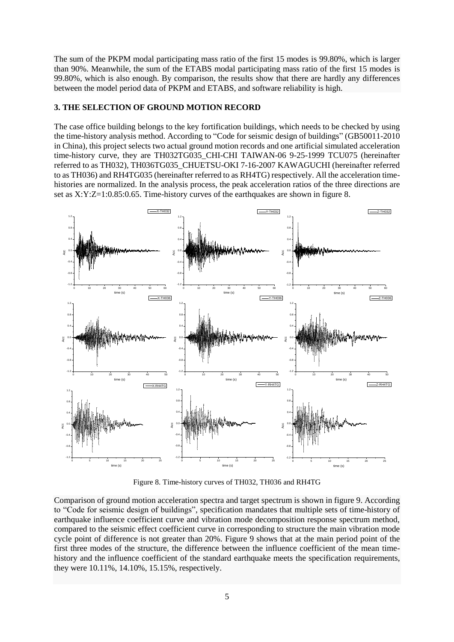The sum of the PKPM modal participating mass ratio of the first 15 modes is 99.80%, which is larger than 90%. Meanwhile, the sum of the ETABS modal participating mass ratio of the first 15 modes is 99.80%, which is also enough. By comparison, the results show that there are hardly any differences between the model period data of PKPM and ETABS, and software reliability is high.

# **3. THE SELECTION OF GROUND MOTION RECORD**

The case office building belongs to the key fortification buildings, which needs to be checked by using the time-history analysis method. According to "Code for seismic design of buildings" (GB50011-2010 in China), this project selects two actual ground motion records and one artificial simulated acceleration time-history curve, they are TH032TG035 CHI-CHI TAIWAN-06 9-25-1999 TCU075 (hereinafter referred to as TH032), TH036TG035\_CHUETSU-OKI 7-16-2007 KAWAGUCHI (hereinafter referred to as TH036) and RH4TG035 (hereinafter referred to as RH4TG) respectively. All the acceleration timehistories are normalized. In the analysis process, the peak acceleration ratios of the three directions are set as X:Y:Z=1:0.85:0.65. Time-history curves of the earthquakes are shown in figure 8.



Figure 8. Time-history curves of TH032, TH036 and RH4TG

Comparison of ground motion acceleration spectra and target spectrum is shown in figure 9. According to "Code for seismic design of buildings", specification mandates that multiple sets of time-history of earthquake influence coefficient curve and vibration mode decomposition response spectrum method, compared to the seismic effect coefficient curve in corresponding to structure the main vibration mode cycle point of difference is not greater than 20%. Figure 9 shows that at the main period point of the first three modes of the structure, the difference between the influence coefficient of the mean timehistory and the influence coefficient of the standard earthquake meets the specification requirements, they were 10.11%, 14.10%, 15.15%, respectively.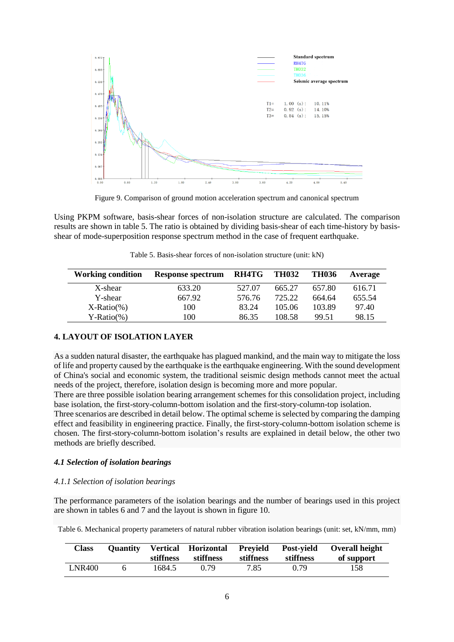

Figure 9. Comparison of ground motion acceleration spectrum and canonical spectrum

Using PKPM software, basis-shear forces of non-isolation structure are calculated. The comparison results are shown in table 5. The ratio is obtained by dividing basis-shear of each time-history by basisshear of mode-superposition response spectrum method in the case of frequent earthquake.

Table 5. Basis-shear forces of non-isolation structure (unit: kN)

| <b>Working condition</b> | Response spectrum | RH4TG  | <b>TH032</b> | <b>TH036</b> | Average |
|--------------------------|-------------------|--------|--------------|--------------|---------|
| X-shear                  | 633.20            | 527.07 | 665.27       | 657.80       | 616.71  |
| Y-shear                  | 667.92            | 576.76 | 725.22       | 664.64       | 655.54  |
| $X-Ratio(\% )$           | 100               | 83.24  | 105.06       | 103.89       | 97.40   |
| $Y-Ratio(\% )$           | 100               | 86.35  | 108.58       | 99.51        | 98.15   |

### **4. LAYOUT OF ISOLATION LAYER**

As a sudden natural disaster, the earthquake has plagued mankind, and the main way to mitigate the loss of life and property caused by the earthquake is the earthquake engineering. With the sound development of China's social and economic system, the traditional seismic design methods cannot meet the actual needs of the project, therefore, isolation design is becoming more and more popular.

There are three possible isolation bearing arrangement schemes for this consolidation project, including base isolation, the first-story-column-bottom isolation and the first-story-column-top isolation.

Three scenarios are described in detail below. The optimal scheme is selected by comparing the damping effect and feasibility in engineering practice. Finally, the first-story-column-bottom isolation scheme is chosen. The first-story-column-bottom isolation's results are explained in detail below, the other two methods are briefly described.

### *4.1 Selection of isolation bearings*

### *4.1.1 Selection of isolation bearings*

The performance parameters of the isolation bearings and the number of bearings used in this project are shown in tables 6 and 7 and the layout is shown in figure 10.

Table 6. Mechanical property parameters of natural rubber vibration isolation bearings (unit: set, kN/mm, mm)

| Class         | stiffness | stiffness | stiffness | stiffness | Quantity Vertical Horizontal Prevield Post-vield Overall height<br>of support |
|---------------|-----------|-----------|-----------|-----------|-------------------------------------------------------------------------------|
| <b>LNR400</b> | 1684.5    | 0.79      | 7.85      | 0.79      | 158                                                                           |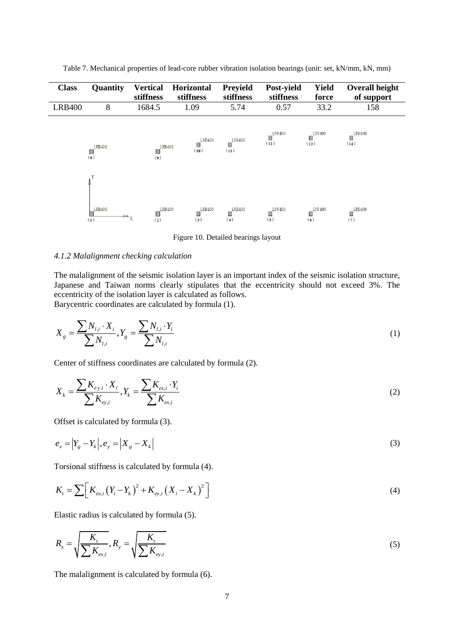| <b>Class</b>  | Quantity                                     | <b>Vertical</b><br>stiffness   | <b>Horizontal</b><br>stiffness | <b>Preyield</b><br>stiffness | Post-yield<br>stiffness    | <b>Yield</b><br>force     | <b>Overall height</b><br>of support |
|---------------|----------------------------------------------|--------------------------------|--------------------------------|------------------------------|----------------------------|---------------------------|-------------------------------------|
| <b>LRB400</b> | 8                                            | 1684.5                         | 1.09                           | 5.74                         | 0.57                       | 33.2                      | 158                                 |
|               | <b>LRB400</b><br>L.<br>(8)                   | <b>LRB400</b><br>П<br>(9)      | <b>LNR400</b><br>Ш<br>(10)     | <b>LNR400</b><br>П<br>(11)   | <b>LNR400</b><br>П<br>(12) | LNR400<br>Ш<br>(13)       | <b>LRB400</b><br>П<br>(14)          |
|               | Y<br><b>LRB400</b><br>$\rightarrow x$<br>(1) | <b>LRB400</b><br>$\Box$<br>(2) | <b>LRB400</b><br>Ш<br>(3)      | <b>LRB400</b><br>Ш<br>(4)    | LNR400<br>П<br>(5)         | <b>LNR400</b><br>ш<br>(6) | <b>LRB400</b><br>Π<br>(7)           |

Table 7. Mechanical properties of lead-core rubber vibration isolation bearings (unit: set, kN/mm, kN, mm)

Figure 10. Detailed bearings layout

## *4.1.2 Malalignment checking calculation*

The malalignment of the seismic isolation layer is an important index of the seismic isolation structure, Japanese and Taiwan norms clearly stipulates that the eccentricity should not exceed 3%. The eccentricity of the isolation layer is calculated as follows. [Barycentric coordinates](http://dict.youdao.com/w/barycentric%20coordinates/#keyfrom=E2Ctranslation) are calculated by formula (1).

$$
X_{g} = \frac{\sum N_{l,i} \cdot X_{i}}{\sum N_{l,i}}, Y_{g} = \frac{\sum N_{l,i} \cdot Y_{i}}{\sum N_{l,i}}
$$
(1)

Center of stiffness coordinates are calculated by formula (2).

$$
X_{k} = \frac{\sum K_{e y, i} \cdot X_{i}}{\sum K_{e y, i}}, Y_{k} = \frac{\sum K_{e x, i} \cdot Y_{i}}{\sum K_{e x, i}}
$$
(2)

Offset is calculated by formula (3).

$$
e_x = \left| Y_g - Y_k \right|, e_y = \left| X_g - X_k \right| \tag{3}
$$

Torsional stiffness is calculated by formula (4).

$$
K_{t} = \sum \Big[ K_{ex,i} (Y_{i} - Y_{k})^{2} + K_{ey,i} (X_{i} - X_{k})^{2} \Big] \tag{4}
$$

Elastic radius is calculated by formula (5).

$$
R_{x} = \sqrt{\frac{K_{t}}{\sum K_{ex,i}}}, R_{y} = \sqrt{\frac{K_{t}}{\sum K_{ey,i}}}
$$
(5)

The malalignment is calculated by formula (6).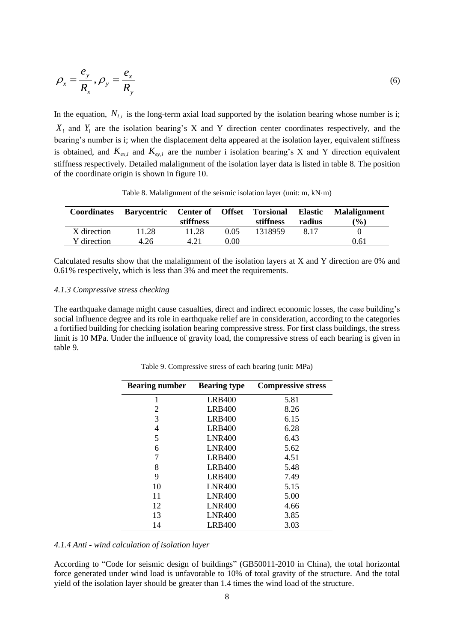$$
\rho_x = \frac{e_y}{R_x}, \rho_y = \frac{e_x}{R_y}
$$
\n(6)

In the equation,  $N_{l,i}$  is the long-term axial load supported by the isolation bearing whose number is i;  $X_i$  and  $Y_i$  are the isolation bearing's X and Y direction center coordinates respectively, and the bearing's number is i; when the displacement delta appeared at the isolation layer, equivalent stiffness is obtained, and  $K_{ex,i}$  and  $K_{ey,i}$  are the number i isolation bearing's X and Y direction equivalent stiffness respectively. Detailed malalignment of the isolation layer data is listed in table 8. The position of the coordinate origin is shown in figure 10.

| <b>Coordinates</b> | Barycentric Center of Offset Torsional | stiffness |      | stiffness | <b>Elastic</b><br>radius | <b>Malalignment</b><br>$\frac{1}{2}$ |
|--------------------|----------------------------------------|-----------|------|-----------|--------------------------|--------------------------------------|
| X direction        | 11.28                                  | 11.28     | 0.05 | 1318959   | 8.17                     |                                      |
| Y direction        | 4.26                                   | 4.21      | 0.00 |           |                          | 0.61                                 |

Table 8. Malalignment of the seismic isolation layer (unit: m, kN·m)

Calculated results show that the malalignment of the isolation layers at X and Y direction are 0% and 0.61% respectively, which is less than 3% and meet the requirements.

#### *4.1.3 Compressive stress checking*

The earthquake damage might cause casualties, direct and indirect economic losses, the case building's social influence degree and its role in earthquake relief are in consideration, according to the categories a fortified building for checking isolation bearing compressive stress. For first class buildings, the stress limit is 10 MPa. Under the influence of gravity load, the compressive stress of each bearing is given in table 9.

| <b>Bearing number</b> | <b>Bearing type</b> | <b>Compressive stress</b> |
|-----------------------|---------------------|---------------------------|
| 1                     | <b>LRB400</b>       | 5.81                      |
| 2                     | <b>LRB400</b>       | 8.26                      |
| 3                     | <b>LRB400</b>       | 6.15                      |
| 4                     | <b>LRB400</b>       | 6.28                      |
| 5                     | <b>LNR400</b>       | 6.43                      |
| 6                     | <b>LNR400</b>       | 5.62                      |
| 7                     | <b>LRB400</b>       | 4.51                      |
| 8                     | <b>LRB400</b>       | 5.48                      |
| 9                     | <b>LRB400</b>       | 7.49                      |
| 10                    | <b>LNR400</b>       | 5.15                      |
| 11                    | <b>LNR400</b>       | 5.00                      |
| 12                    | <b>LNR400</b>       | 4.66                      |
| 13                    | <b>LNR400</b>       | 3.85                      |
| 14                    | LRB400              | 3.03                      |

Table 9. Compressive stress of each bearing (unit: MPa)

#### *4.1.4 Anti - wind calculation of isolation layer*

According to "Code for seismic design of buildings" (GB50011-2010 in China), the total horizontal force generated under wind load is unfavorable to 10% of total gravity of the structure. And the total yield of the isolation layer should be greater than 1.4 times the wind load of the structure.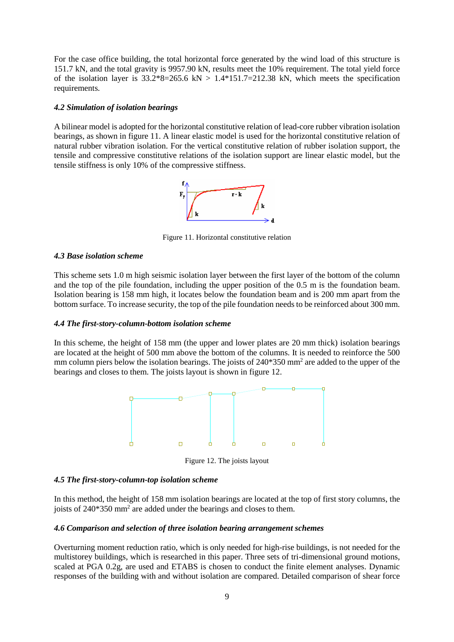For the case office building, the total horizontal force generated by the wind load of this structure is 151.7 kN, and the total gravity is 9957.90 kN, results meet the 10% requirement. The total yield force of the isolation layer is  $33.2*8=265.6 \text{ kN} > 1.4*151.7=212.38 \text{ kN}$ , which meets the specification requirements.

# *4.2 Simulation of isolation bearings*

A bilinear model is adopted for the horizontal constitutive relation of lead-core rubber vibration isolation bearings, as shown in figure 11. A linear elastic model is used for the horizontal constitutive relation of natural rubber vibration isolation. For the vertical constitutive relation of rubber isolation support, the tensile and compressive constitutive relations of the isolation support are linear elastic model, but the tensile stiffness is only 10% of the compressive stiffness.



Figure 11. Horizontal constitutive relation

## *4.3 Base isolation scheme*

This scheme sets 1.0 m high seismic isolation layer between the first layer of the bottom of the column and the top of the pile foundation, including the upper position of the 0.5 m is the foundation beam. Isolation bearing is 158 mm high, it locates below the foundation beam and is 200 mm apart from the bottom surface. To increase security, the top of the pile foundation needs to be reinforced about 300 mm.

### *4.4 The first-story-column-bottom isolation scheme*

In this scheme, the height of 158 mm (the upper and lower plates are 20 mm thick) isolation bearings are located at the height of 500 mm above the bottom of the columns. It is needed to reinforce the 500 mm column piers below the isolation bearings. The joists of 240\*350 mm<sup>2</sup> are added to the upper of the bearings and closes to them. The joists layout is shown in figure 12.



Figure 12. The joists layout

## *4.5 The first-story-column-top isolation scheme*

In this method, the height of 158 mm isolation bearings are located at the top of first story columns, the joists of 240\*350 mm<sup>2</sup> are added under the bearings and closes to them.

### *4.6 Comparison and selection of three isolation bearing arrangement schemes*

Overturning moment reduction ratio, which is only needed for high-rise buildings, is not needed for the multistorey buildings, which is researched in this paper. Three sets of tri-dimensional ground motions, scaled at PGA 0.2g, are used and ETABS is chosen to conduct the finite element analyses. Dynamic responses of the building with and without isolation are compared. Detailed comparison of shear force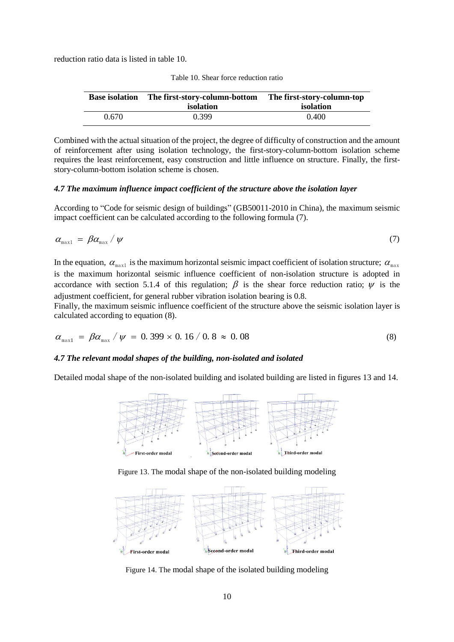reduction ratio data is listed in table 10.

| <b>Base isolation</b> | The first-story-column-bottom | The first-story-column-top |
|-----------------------|-------------------------------|----------------------------|
|                       | isolation                     | isolation                  |
| 0.670                 | 0.399                         | 0.400                      |

| Table 10. Shear force reduction ratio |  |
|---------------------------------------|--|
|---------------------------------------|--|

Combined with the actual situation of the project, the degree of difficulty of construction and the amount of reinforcement after using isolation technology, the first-story-column-bottom isolation scheme requires the least reinforcement, easy construction and little influence on structure. Finally, the firststory-column-bottom isolation scheme is chosen.

# *4.7 The maximum influence impact coefficient of the structure above the isolation layer*

According to "Code for seismic design of buildings" (GB50011-2010 in China), the maximum seismic impact coefficient can be calculated according to the following formula (7).

$$
\alpha_{\text{max1}} = \beta \alpha_{\text{max}} / \psi \tag{7}
$$

In the equation,  $\alpha_{\text{max1}}$  is the maximum horizontal seismic impact coefficient of isolation structure;  $\alpha_{\text{max}}$ is the maximum horizontal seismic influence coefficient of non-isolation structure is adopted in accordance with section 5.1.4 of this regulation;  $\beta$  is the shear force reduction ratio;  $\psi$  is the adjustment coefficient, for general rubber vibration isolation bearing is 0.8.

Finally, the maximum seismic influence coefficient of the structure above the seismic isolation layer is calculated according to equation (8).

$$
\alpha_{\text{max1}} = \beta \alpha_{\text{max}} / \psi = 0.399 \times 0.16 / 0.8 \approx 0.08 \tag{8}
$$

# *4.7 The relevant modal shapes of the building, non-isolated and isolated*

Detailed modal shape of the non-isolated building and isolated building are listed in figures 13 and 14.







Figure 14. The modal shape of the isolated building modeling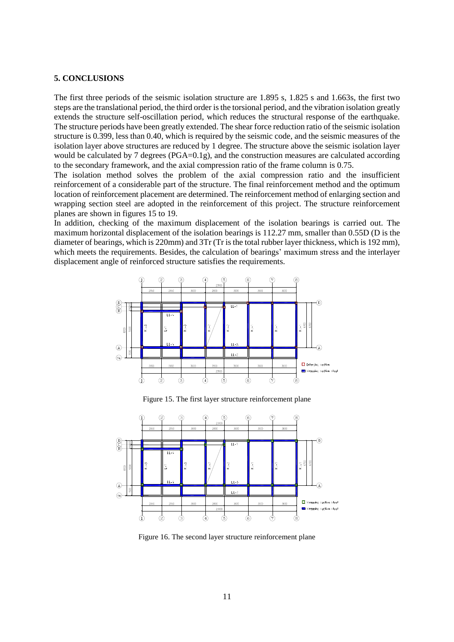#### **5. CONCLUSIONS**

The first three periods of the seismic isolation structure are 1.895 s, 1.825 s and 1.663s, the first two steps are the translational period, the third order is the torsional period, and the vibration isolation greatly extends the structure self-oscillation period, which reduces the structural response of the earthquake. The structure periods have been greatly extended. The shear force reduction ratio of the seismic isolation structure is 0.399, less than 0.40, which is required by the seismic code, and the seismic measures of the isolation layer above structures are reduced by 1 degree. The structure above the seismic isolation layer would be calculated by 7 degrees (PGA=0.1g), and the construction measures are calculated according to the secondary framework, and the axial compression ratio of the frame column is 0.75.

The isolation method solves the problem of the axial compression ratio and the insufficient reinforcement of a considerable part of the structure. The final reinforcement method and the optimum location of reinforcement placement are determined. The reinforcement method of enlarging section and wrapping section steel are adopted in the reinforcement of this project. The structure reinforcement planes are shown in figures 15 to 19.

In addition, checking of the maximum displacement of the isolation bearings is carried out. The maximum horizontal displacement of the isolation bearings is 112.27 mm, smaller than 0.55D (D is the diameter of bearings, which is 220mm) and 3Tr (Tr is the total rubber layer thickness, which is 192 mm), which meets the requirements. Besides, the calculation of bearings' maximum stress and the interlayer displacement angle of reinforced structure satisfies the requirements.



Figure 15. The first layer structure reinforcement plane



Figure 16. The second layer structure reinforcement plane